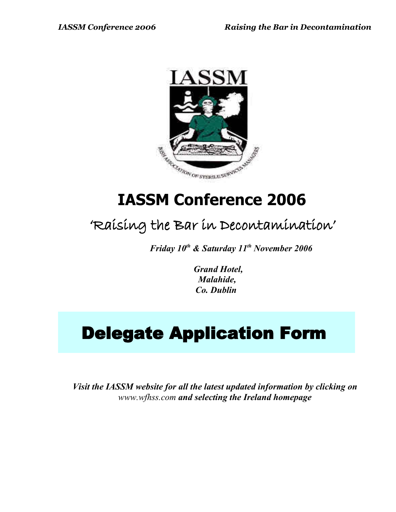

# **IASSM Conference 2006**

## 'Raising the Bar in Decontamination'

*Friday 10th & Saturday 11th November 2006*

 *Grand Hotel, Malahide, Co. Dublin*

# Delegate Application Form

*Visit the IASSM website for all the latest updated information by clicking on [www.wfhss.com](http://www.efhss.com/) and selecting the Ireland homepage*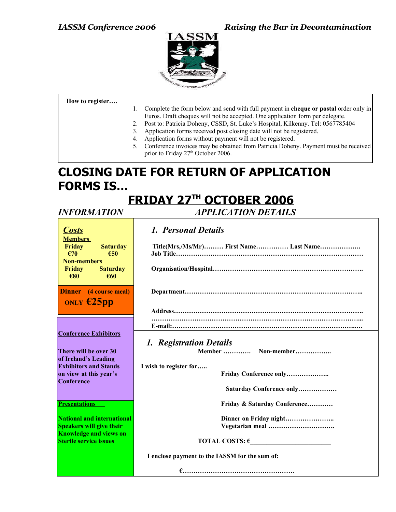

**How to register….**

- 1. Complete the form below and send with full payment in **cheque or postal** order only in Euros. Draft cheques will not be accepted. One application form per delegate.
- 2. Post to: Patricia Doheny, CSSD, St. Luke's Hospital, Kilkenny. Tel: 0567785404
- 3. Application forms received post closing date will not be registered.
	- 4. Application forms without payment will not be registered.
- 5. Conference invoices may be obtained from Patricia Doheny. Payment must be received prior to Friday 27<sup>th</sup> October 2006.

### **CLOSING DATE FOR RETURN OF APPLICATION FORMS IS…**

## **F RIDAY 27 TH OCTOBER 2006**

*INFORMATION APPLICATION DETAILS*

| <b>Costs</b>                         | 1. Personal Details                            |
|--------------------------------------|------------------------------------------------|
| <b>Members</b>                       |                                                |
| Friday<br><b>Saturday</b>            | Title(Mrs,/Ms/Mr) First Name Last Name         |
| €70<br>€50                           |                                                |
| <b>Non-members</b>                   |                                                |
| Friday<br><b>Saturday</b>            |                                                |
| €80<br>€60                           |                                                |
| <b>Dinner</b> (4 course meal)        |                                                |
|                                      |                                                |
| ONLY $E25pp$                         |                                                |
|                                      |                                                |
|                                      |                                                |
|                                      |                                                |
| <b>Conference Exhibitors</b>         |                                                |
|                                      | 1. Registration Details                        |
| There will be over 30                | Member  Non-member                             |
| of Ireland's Leading                 |                                                |
| <b>Exhibitors and Stands</b>         | I wish to register for                         |
| on view at this year's<br>Conference | Friday Conference only                         |
|                                      | Saturday Conference only                       |
|                                      |                                                |
| <b>Presentations</b>                 | Friday & Saturday Conference                   |
|                                      |                                                |
| National and international           | Dinner on Friday night                         |
| <b>Speakers will give their</b>      | Vegetarian meal                                |
| <b>Knowledge and views on</b>        |                                                |
| <b>Sterile service issues</b>        | TOTAL COSTS: $\epsilon$                        |
|                                      | I enclose payment to the IASSM for the sum of: |
|                                      |                                                |
|                                      |                                                |